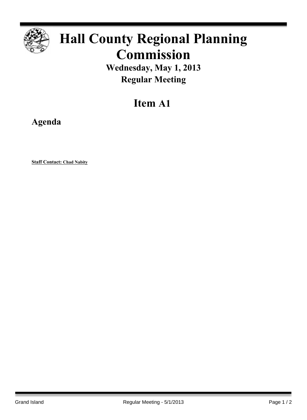

# **Hall County Regional Planning Commission**

**Wednesday, May 1, 2013 Regular Meeting**

## **Item A1**

**Agenda**

**Staff Contact: Chad Nabity**